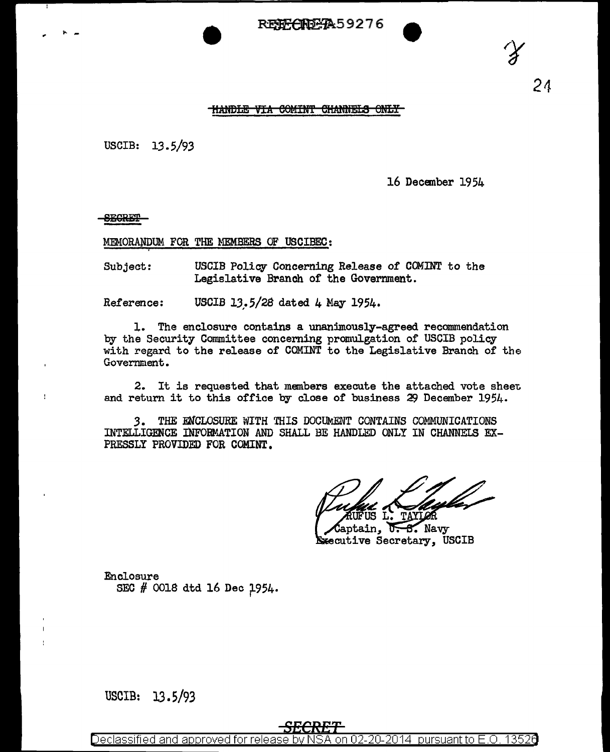RE<del>NG (NDGA</del>59276



 $24$ 

## HANDLE VIA COMINT CHANNELS ONLY

USCIB:  $13.5/93$ 

16 December 1954

**SECRET** 

MEMORANDUM FOR THE MEMBERS OF USCIBEC:

Subject: USCIB Policy Concerning Release of COMINT to the Legislative Branch of the Government.

Reference: USCIB 13.5/28 dated 4 May 1954.

1. The enclosure contains a unanimously-agreed recommendation by the Security Committee concerning promulgation of USCIB policy with regard to the release of COMINT to the Legislative Branch of the Government.

2. It is requested that members execute the attached vote sheet and return it to this office by close of business 29 December 1954.

THE ENCLOSURE WITH THIS DOCUMENT CONTAINS COMMUNICATIONS 3. INTELLIGENCE INFORMATION AND SHALL BE HANDLED ONLY IN CHANNELS EX-PRESSLY PROVIDED FOR COMINT.

 $\mathcal{S}$ . Navy Ū Executive Secretary, USCIB

Enclosure SEC # 0018 dtd 16 Dec 1954.

USCIB: 13.5/93

Declassified and approved for release by N SA on 02-20-2014 pursuant to E.O. 13526